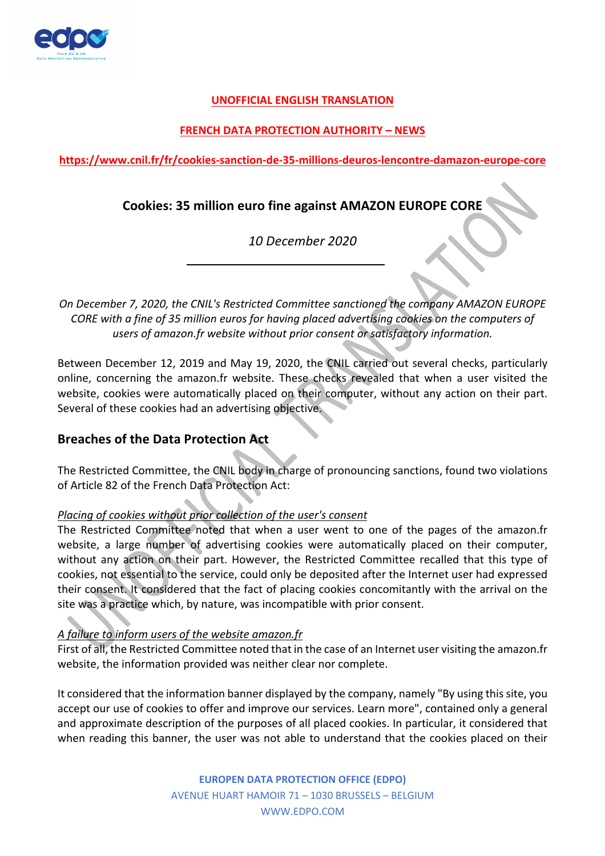

#### **UNOFFICIAL ENGLISH TRANSLATION**

### **FRENCH DATA PROTECTION AUTHORITY – NEWS**

**https://www.cnil.fr/fr/cookies-sanction-de-35-millions-deuros-lencontre-damazon-europe-core**

# **Cookies: 35 million euro fine against AMAZON EUROPE CORE**

*10 December 2020*

*On December 7, 2020, the CNIL's Restricted Committee sanctioned the company AMAZON EUROPE CORE with a fine of 35 million euros for having placed advertising cookies on the computers of users of amazon.fr website without prior consent or satisfactory information.* 

Between December 12, 2019 and May 19, 2020, the CNIL carried out several checks, particularly online, concerning the amazon.fr website. These checks revealed that when a user visited the website, cookies were automatically placed on their computer, without any action on their part. Several of these cookies had an advertising objective.

## **Breaches of the Data Protection Act**

The Restricted Committee, the CNIL body in charge of pronouncing sanctions, found two violations of Article 82 of the French Data Protection Act:

#### *Placing of cookies without prior collection of the user's consent*

The Restricted Committee noted that when a user went to one of the pages of the amazon.fr website, a large number of advertising cookies were automatically placed on their computer, without any action on their part. However, the Restricted Committee recalled that this type of cookies, not essential to the service, could only be deposited after the Internet user had expressed their consent. It considered that the fact of placing cookies concomitantly with the arrival on the site was a practice which, by nature, was incompatible with prior consent.

#### *A failure to inform users of the website amazon.fr*

First of all, the Restricted Committee noted that in the case of an Internet user visiting the amazon.fr website, the information provided was neither clear nor complete.

It considered that the information banner displayed by the company, namely "By using this site, you accept our use of cookies to offer and improve our services. Learn more", contained only a general and approximate description of the purposes of all placed cookies. In particular, it considered that when reading this banner, the user was not able to understand that the cookies placed on their

> **EUROPEN DATA PROTECTION OFFICE (EDPO)**  AVENUE HUART HAMOIR 71 – 1030 BRUSSELS – BELGIUM WWW.EDPO.COM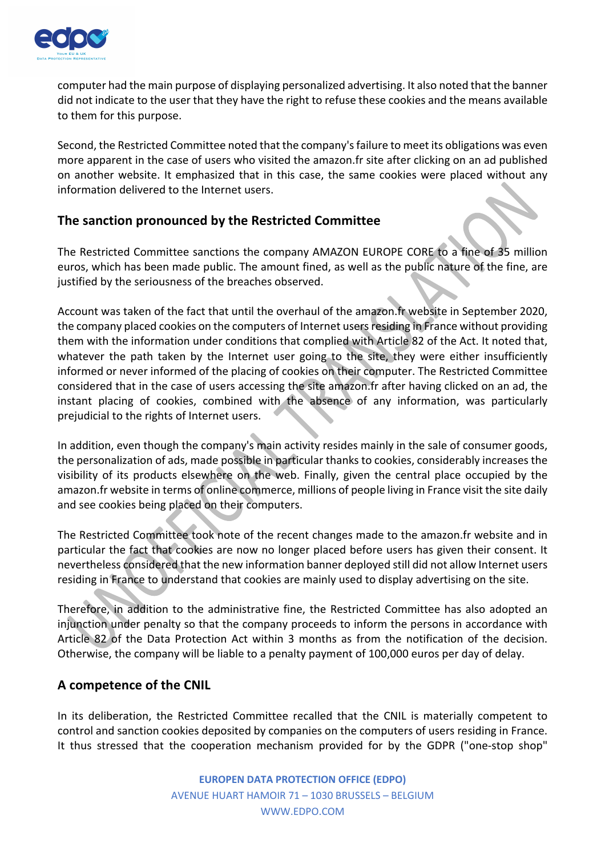

computer had the main purpose of displaying personalized advertising. It also noted that the banner did not indicate to the user that they have the right to refuse these cookies and the means available to them for this purpose.

Second, the Restricted Committee noted that the company's failure to meet its obligations was even more apparent in the case of users who visited the amazon.fr site after clicking on an ad published on another website. It emphasized that in this case, the same cookies were placed without any information delivered to the Internet users.

# **The sanction pronounced by the Restricted Committee**

The Restricted Committee sanctions the company AMAZON EUROPE CORE to a fine of 35 million euros, which has been made public. The amount fined, as well as the public nature of the fine, are justified by the seriousness of the breaches observed.

Account was taken of the fact that until the overhaul of the amazon.fr website in September 2020, the company placed cookies on the computers of Internet users residing in France without providing them with the information under conditions that complied with Article 82 of the Act. It noted that, whatever the path taken by the Internet user going to the site, they were either insufficiently informed or never informed of the placing of cookies on their computer. The Restricted Committee considered that in the case of users accessing the site amazon.fr after having clicked on an ad, the instant placing of cookies, combined with the absence of any information, was particularly prejudicial to the rights of Internet users.

In addition, even though the company's main activity resides mainly in the sale of consumer goods, the personalization of ads, made possible in particular thanks to cookies, considerably increases the visibility of its products elsewhere on the web. Finally, given the central place occupied by the amazon.fr website in terms of online commerce, millions of people living in France visit the site daily and see cookies being placed on their computers.

The Restricted Committee took note of the recent changes made to the amazon.fr website and in particular the fact that cookies are now no longer placed before users has given their consent. It nevertheless considered that the new information banner deployed still did not allow Internet users residing in France to understand that cookies are mainly used to display advertising on the site.

Therefore, in addition to the administrative fine, the Restricted Committee has also adopted an injunction under penalty so that the company proceeds to inform the persons in accordance with Article 82 of the Data Protection Act within 3 months as from the notification of the decision. Otherwise, the company will be liable to a penalty payment of 100,000 euros per day of delay.

## **A competence of the CNIL**

In its deliberation, the Restricted Committee recalled that the CNIL is materially competent to control and sanction cookies deposited by companies on the computers of users residing in France. It thus stressed that the cooperation mechanism provided for by the GDPR ("one-stop shop"

> **EUROPEN DATA PROTECTION OFFICE (EDPO)**  AVENUE HUART HAMOIR 71 – 1030 BRUSSELS – BELGIUM WWW.EDPO.COM